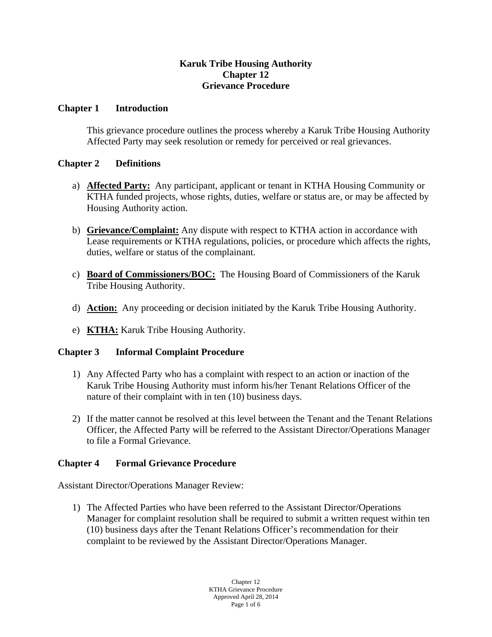# **Karuk Tribe Housing Authority Chapter 12 Grievance Procedure**

### **Chapter 1 Introduction**

This grievance procedure outlines the process whereby a Karuk Tribe Housing Authority Affected Party may seek resolution or remedy for perceived or real grievances.

### **Chapter 2 Definitions**

- a) **Affected Party:** Any participant, applicant or tenant in KTHA Housing Community or KTHA funded projects, whose rights, duties, welfare or status are, or may be affected by Housing Authority action.
- b) **Grievance/Complaint:** Any dispute with respect to KTHA action in accordance with Lease requirements or KTHA regulations, policies, or procedure which affects the rights, duties, welfare or status of the complainant.
- c) **Board of Commissioners/BOC:** The Housing Board of Commissioners of the Karuk Tribe Housing Authority.
- d) **Action:** Any proceeding or decision initiated by the Karuk Tribe Housing Authority.
- e) **KTHA:** Karuk Tribe Housing Authority.

# **Chapter 3 Informal Complaint Procedure**

- 1) Any Affected Party who has a complaint with respect to an action or inaction of the Karuk Tribe Housing Authority must inform his/her Tenant Relations Officer of the nature of their complaint with in ten (10) business days.
- 2) If the matter cannot be resolved at this level between the Tenant and the Tenant Relations Officer, the Affected Party will be referred to the Assistant Director/Operations Manager to file a Formal Grievance.

# **Chapter 4 Formal Grievance Procedure**

Assistant Director/Operations Manager Review:

1) The Affected Parties who have been referred to the Assistant Director/Operations Manager for complaint resolution shall be required to submit a written request within ten (10) business days after the Tenant Relations Officer's recommendation for their complaint to be reviewed by the Assistant Director/Operations Manager.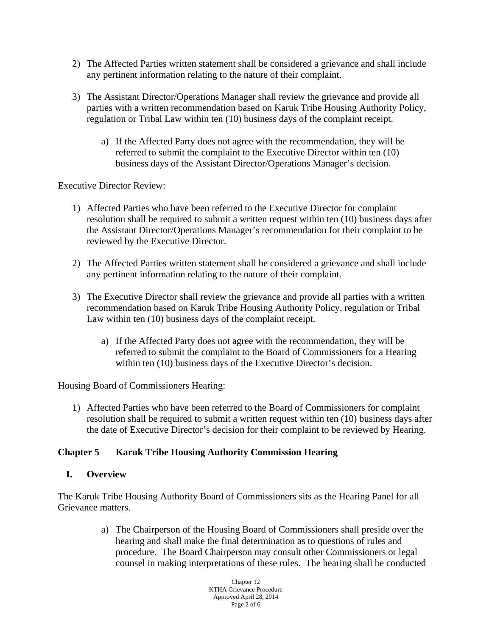- 2) The Affected Parties written statement shall be considered a grievance and shall include any pertinent information relating to the nature of their complaint.
- 3) The Assistant Director/Operations Manager shall review the grievance and provide all parties with a written recommendation based on Karuk Tribe Housing Authority Policy, regulation or Tribal Law within ten (10) business days of the complaint receipt.
	- a) If the Affected Party does not agree with the recommendation, they will be referred to submit the complaint to the Executive Director within ten (10) business days of the Assistant Director/Operations Manager's decision.

Executive Director Review:

- 1) Affected Parties who have been referred to the Executive Director for complaint resolution shall be required to submit a written request within ten (10) business days after the Assistant Director/Operations Manager's recommendation for their complaint to be reviewed by the Executive Director.
- 2) The Affected Parties written statement shall be considered a grievance and shall include any pertinent information relating to the nature of their complaint.
- 3) The Executive Director shall review the grievance and provide all parties with a written recommendation based on Karuk Tribe Housing Authority Policy, regulation or Tribal Law within ten (10) business days of the complaint receipt.
	- a) If the Affected Party does not agree with the recommendation, they will be referred to submit the complaint to the Board of Commissioners for a Hearing within ten (10) business days of the Executive Director's decision.

Housing Board of Commissioners Hearing:

1) Affected Parties who have been referred to the Board of Commissioners for complaint resolution shall be required to submit a written request within ten (10) business days after the date of Executive Director's decision for their complaint to be reviewed by Hearing.

# **Chapter 5 Karuk Tribe Housing Authority Commission Hearing**

#### **I. Overview**

The Karuk Tribe Housing Authority Board of Commissioners sits as the Hearing Panel for all Grievance matters.

> a) The Chairperson of the Housing Board of Commissioners shall preside over the hearing and shall make the final determination as to questions of rules and procedure. The Board Chairperson may consult other Commissioners or legal counsel in making interpretations of these rules. The hearing shall be conducted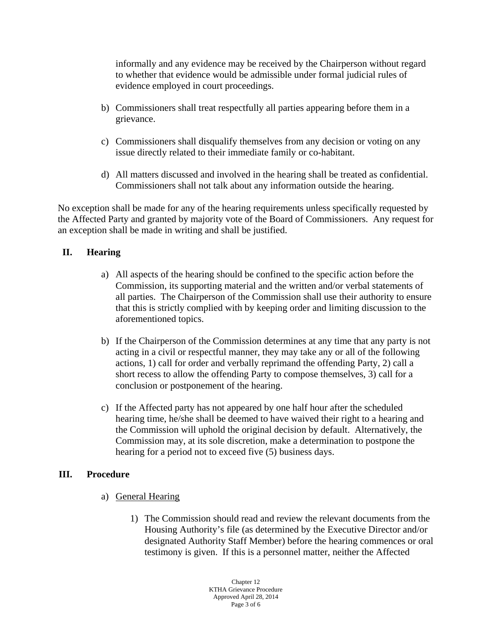informally and any evidence may be received by the Chairperson without regard to whether that evidence would be admissible under formal judicial rules of evidence employed in court proceedings.

- b) Commissioners shall treat respectfully all parties appearing before them in a grievance.
- c) Commissioners shall disqualify themselves from any decision or voting on any issue directly related to their immediate family or co-habitant.
- d) All matters discussed and involved in the hearing shall be treated as confidential. Commissioners shall not talk about any information outside the hearing.

No exception shall be made for any of the hearing requirements unless specifically requested by the Affected Party and granted by majority vote of the Board of Commissioners. Any request for an exception shall be made in writing and shall be justified.

# **II. Hearing**

- a) All aspects of the hearing should be confined to the specific action before the Commission, its supporting material and the written and/or verbal statements of all parties. The Chairperson of the Commission shall use their authority to ensure that this is strictly complied with by keeping order and limiting discussion to the aforementioned topics.
- b) If the Chairperson of the Commission determines at any time that any party is not acting in a civil or respectful manner, they may take any or all of the following actions, 1) call for order and verbally reprimand the offending Party, 2) call a short recess to allow the offending Party to compose themselves, 3) call for a conclusion or postponement of the hearing.
- c) If the Affected party has not appeared by one half hour after the scheduled hearing time, he/she shall be deemed to have waived their right to a hearing and the Commission will uphold the original decision by default. Alternatively, the Commission may, at its sole discretion, make a determination to postpone the hearing for a period not to exceed five (5) business days.

# **III. Procedure**

- a) General Hearing
	- 1) The Commission should read and review the relevant documents from the Housing Authority's file (as determined by the Executive Director and/or designated Authority Staff Member) before the hearing commences or oral testimony is given. If this is a personnel matter, neither the Affected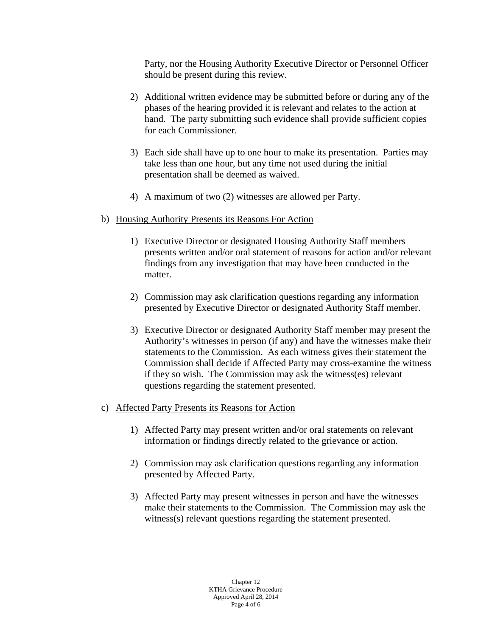Party, nor the Housing Authority Executive Director or Personnel Officer should be present during this review.

- 2) Additional written evidence may be submitted before or during any of the phases of the hearing provided it is relevant and relates to the action at hand. The party submitting such evidence shall provide sufficient copies for each Commissioner.
- 3) Each side shall have up to one hour to make its presentation. Parties may take less than one hour, but any time not used during the initial presentation shall be deemed as waived.
- 4) A maximum of two (2) witnesses are allowed per Party.
- b) Housing Authority Presents its Reasons For Action
	- 1) Executive Director or designated Housing Authority Staff members presents written and/or oral statement of reasons for action and/or relevant findings from any investigation that may have been conducted in the matter.
	- 2) Commission may ask clarification questions regarding any information presented by Executive Director or designated Authority Staff member.
	- 3) Executive Director or designated Authority Staff member may present the Authority's witnesses in person (if any) and have the witnesses make their statements to the Commission. As each witness gives their statement the Commission shall decide if Affected Party may cross-examine the witness if they so wish. The Commission may ask the witness(es) relevant questions regarding the statement presented.
- c) Affected Party Presents its Reasons for Action
	- 1) Affected Party may present written and/or oral statements on relevant information or findings directly related to the grievance or action.
	- 2) Commission may ask clarification questions regarding any information presented by Affected Party.
	- 3) Affected Party may present witnesses in person and have the witnesses make their statements to the Commission. The Commission may ask the witness(s) relevant questions regarding the statement presented.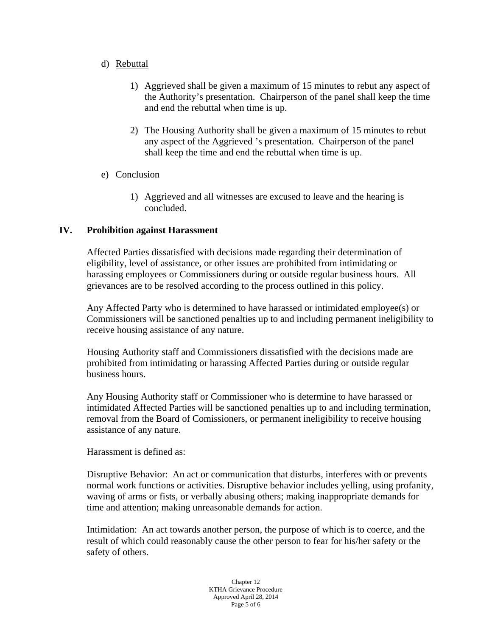#### d) Rebuttal

- 1) Aggrieved shall be given a maximum of 15 minutes to rebut any aspect of the Authority's presentation. Chairperson of the panel shall keep the time and end the rebuttal when time is up.
- 2) The Housing Authority shall be given a maximum of 15 minutes to rebut any aspect of the Aggrieved 's presentation. Chairperson of the panel shall keep the time and end the rebuttal when time is up.
- e) Conclusion
	- 1) Aggrieved and all witnesses are excused to leave and the hearing is concluded.

### **IV. Prohibition against Harassment**

Affected Parties dissatisfied with decisions made regarding their determination of eligibility, level of assistance, or other issues are prohibited from intimidating or harassing employees or Commissioners during or outside regular business hours. All grievances are to be resolved according to the process outlined in this policy.

Any Affected Party who is determined to have harassed or intimidated employee(s) or Commissioners will be sanctioned penalties up to and including permanent ineligibility to receive housing assistance of any nature.

Housing Authority staff and Commissioners dissatisfied with the decisions made are prohibited from intimidating or harassing Affected Parties during or outside regular business hours.

Any Housing Authority staff or Commissioner who is determine to have harassed or intimidated Affected Parties will be sanctioned penalties up to and including termination, removal from the Board of Comissioners, or permanent ineligibility to receive housing assistance of any nature.

#### Harassment is defined as:

Disruptive Behavior: An act or communication that disturbs, interferes with or prevents normal work functions or activities. Disruptive behavior includes yelling, using profanity, waving of arms or fists, or verbally abusing others; making inappropriate demands for time and attention; making unreasonable demands for action.

Intimidation: An act towards another person, the purpose of which is to coerce, and the result of which could reasonably cause the other person to fear for his/her safety or the safety of others.

> Chapter 12 KTHA Grievance Procedure Approved April 28, 2014 Page 5 of 6